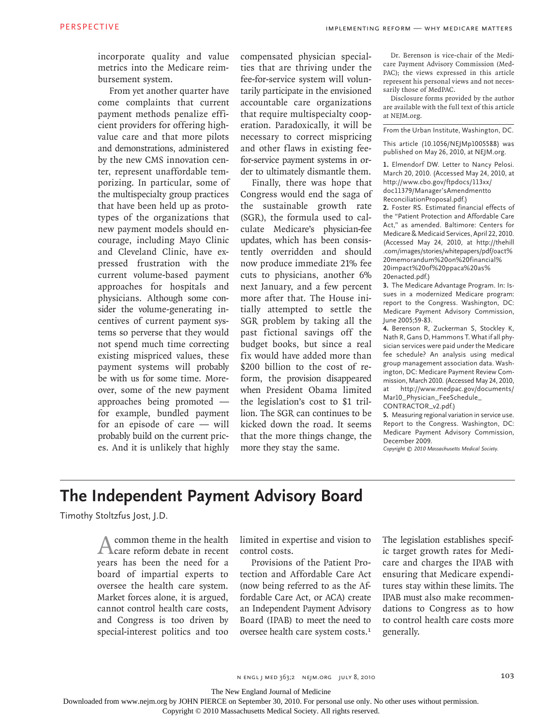incorporate quality and value metrics into the Medicare reimbursement system.

From yet another quarter have come complaints that current payment methods penalize efficient providers for offering highvalue care and that more pilots and demonstrations, administered by the new CMS innovation center, represent unaffordable temporizing. In particular, some of the multispecialty group practices that have been held up as prototypes of the organizations that new payment models should encourage, including Mayo Clinic and Cleveland Clinic, have expressed frustration with the current volume-based payment approaches for hospitals and physicians. Although some consider the volume-generating incentives of current payment systems so perverse that they would not spend much time correcting existing mispriced values, these payment systems will probably be with us for some time. Moreover, some of the new payment approaches being promoted for example, bundled payment for an episode of care — will probably build on the current prices. And it is unlikely that highly compensated physician specialties that are thriving under the fee-for-service system will voluntarily participate in the envisioned accountable care organizations that require multispecialty cooperation. Paradoxically, it will be necessary to correct mispricing and other flaws in existing feefor-service payment systems in order to ultimately dismantle them.

Finally, there was hope that Congress would end the saga of the sustainable growth rate (SGR), the formula used to calculate Medicare's physician-fee updates, which has been consistently overridden and should now produce immediate 21% fee cuts to physicians, another 6% next January, and a few percent more after that. The House initially attempted to settle the SGR problem by taking all the past fictional savings off the budget books, but since a real fix would have added more than \$200 billion to the cost of reform, the provision disappeared when President Obama limited the legislation's cost to \$1 trillion. The SGR can continues to be kicked down the road. It seems that the more things change, the more they stay the same.

Dr. Berenson is vice-chair of the Medicare Payment Advisory Commission (Med-PAC); the views expressed in this article represent his personal views and not necessarily those of MedPAC.

Disclosure forms provided by the author are available with the full text of this article at NEJM.org.

From the Urban Institute, Washington, DC.

This article (10.1056/NEJMp1005588) was published on May 26, 2010, at NEJM.org.

**1.** Elmendorf DW. Letter to Nancy Pelosi. March 20, 2010. (Accessed May 24, 2010, at http://www.cbo.gov/ftpdocs/113xx/ doc11379/Manager'sAmendmentto ReconciliationProposal.pdf.)

**2.** Foster RS. Estimated financial effects of the "Patient Protection and Affordable Care Act," as amended. Baltimore: Centers for Medicare & Medicaid Services, April 22, 2010. (Accessed May 24, 2010, at http://thehill .com/images/stories/whitepapers/pdf/oact% 20memorandum%20on%20financial% 20impact%20of%20ppaca%20as% 20enacted.pdf.)

**3.** The Medicare Advantage Program. In: Issues in a modernized Medicare program: report to the Congress. Washington, DC: Medicare Payment Advisory Commission, June 2005;59-83.

**4.** Berenson R, Zuckerman S, Stockley K, Nath R, Gans D, Hammons T. What if all physician services were paid under the Medicare fee schedule? An analysis using medical group management association data. Washington, DC: Medicare Payment Review Commission, March 2010. (Accessed May 24, 2010, at http://www.medpac.gov/documents/ Mar10\_Physician\_FeeSchedule\_ CONTRACTOR\_v2.pdf.)

**5.** Measuring regional variation in service use. Report to the Congress. Washington, DC: Medicare Payment Advisory Commission, December 2009.

*Copyright © 2010 Massachusetts Medical Society.*

## **The Independent Payment Advisory Board**

Timothy Stoltzfus Jost, J.D.

common theme in the health care reform debate in recent years has been the need for a board of impartial experts to oversee the health care system. Market forces alone, it is argued, cannot control health care costs, and Congress is too driven by special-interest politics and too

limited in expertise and vision to control costs.

Provisions of the Patient Protection and Affordable Care Act (now being referred to as the Affordable Care Act, or ACA) create an Independent Payment Advisory Board (IPAB) to meet the need to oversee health care system costs.<sup>1</sup> The legislation establishes specific target growth rates for Medicare and charges the IPAB with ensuring that Medicare expenditures stay within these limits. The IPAB must also make recommendations to Congress as to how to control health care costs more generally.

n engl j med 363;2 nejm.org july 8, 2010

The New England Journal of Medicine

Downloaded from www.nejm.org by JOHN PIERCE on September 30, 2010. For personal use only. No other uses without permission.

Copyright © 2010 Massachusetts Medical Society. All rights reserved.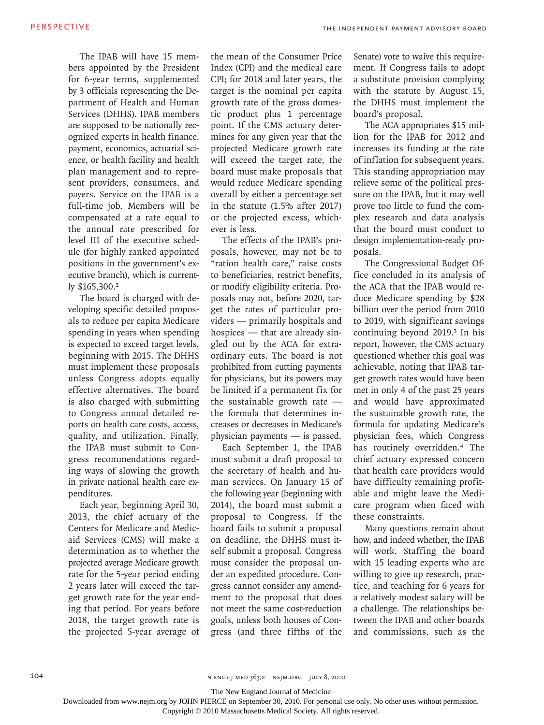The IPAB will have 15 members appointed by the President for 6-year terms, supplemented by 3 officials representing the Department of Health and Human Services (DHHS). IPAB members are supposed to be nationally recognized experts in health finance, payment, economics, actuarial science, or health facility and health plan management and to represent providers, consumers, and payers. Service on the IPAB is a full-time job. Members will be compensated at a rate equal to the annual rate prescribed for level III of the executive schedule (for highly ranked appointed positions in the government's executive branch), which is currently \$165,300.<sup>2</sup>

The board is charged with developing specific detailed proposals to reduce per capita Medicare spending in years when spending is expected to exceed target levels, beginning with 2015. The DHHS must implement these proposals unless Congress adopts equally effective alternatives. The board is also charged with submitting to Congress annual detailed reports on health care costs, access, quality, and utilization. Finally, the IPAB must submit to Congress recommendations regarding ways of slowing the growth in private national health care expenditures.

Each year, beginning April 30, 2013, the chief actuary of the Centers for Medicare and Medicaid Services (CMS) will make a determination as to whether the projected average Medicare growth rate for the 5-year period ending 2 years later will exceed the target growth rate for the year ending that period. For years before 2018, the target growth rate is the projected 5-year average of the mean of the Consumer Price Index (CPI) and the medical care CPI; for 2018 and later years, the target is the nominal per capita growth rate of the gross domestic product plus 1 percentage point. If the CMS actuary determines for any given year that the projected Medicare growth rate will exceed the target rate, the board must make proposals that would reduce Medicare spending overall by either a percentage set in the statute (1.5% after 2017) or the projected excess, whichever is less.

The effects of the IPAB's proposals, however, may not be to "ration health care," raise costs to beneficiaries, restrict benefits, or modify eligibility criteria. Proposals may not, before 2020, target the rates of particular providers — primarily hospitals and hospices — that are already singled out by the ACA for extraordinary cuts. The board is not prohibited from cutting payments for physicians, but its powers may be limited if a permanent fix for the sustainable growth rate the formula that determines increases or decreases in Medicare's physician payments — is passed.

Each September 1, the IPAB must submit a draft proposal to the secretary of health and human services. On January 15 of the following year (beginning with 2014), the board must submit a proposal to Congress. If the board fails to submit a proposal on deadline, the DHHS must itself submit a proposal. Congress must consider the proposal under an expedited procedure. Congress cannot consider any amendment to the proposal that does not meet the same cost-reduction goals, unless both houses of Congress (and three fifths of the

Senate) vote to waive this requirement. If Congress fails to adopt a substitute provision complying with the statute by August 15, the DHHS must implement the board's proposal.

The ACA appropriates \$15 million for the IPAB for 2012 and increases its funding at the rate of inflation for subsequent years. This standing appropriation may relieve some of the political pressure on the IPAB, but it may well prove too little to fund the complex research and data analysis that the board must conduct to design implementation-ready proposals.

The Congressional Budget Office concluded in its analysis of the ACA that the IPAB would reduce Medicare spending by \$28 billion over the period from 2010 to 2019, with significant savings continuing beyond 2019.3 In his report, however, the CMS actuary questioned whether this goal was achievable, noting that IPAB target growth rates would have been met in only 4 of the past 25 years and would have approximated the sustainable growth rate, the formula for updating Medicare's physician fees, which Congress has routinely overridden.4 The chief actuary expressed concern that health care providers would have difficulty remaining profitable and might leave the Medicare program when faced with these constraints.

Many questions remain about how, and indeed whether, the IPAB will work. Staffing the board with 15 leading experts who are willing to give up research, practice, and teaching for 6 years for a relatively modest salary will be a challenge. The relationships between the IPAB and other boards and commissions, such as the

The New England Journal of Medicine

Downloaded from www.nejm.org by JOHN PIERCE on September 30, 2010. For personal use only. No other uses without permission.

Copyright © 2010 Massachusetts Medical Society. All rights reserved.

<sup>104</sup> **n engl j med 363;2 nejm.org july 8, 2010**